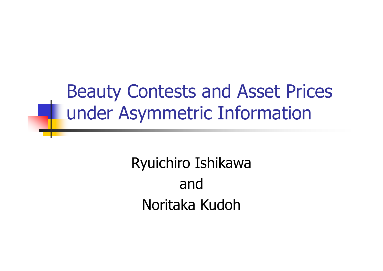### Beauty Contests and Asset Prices under Asymmetric Information

Ryuichiro Ishikawa andNoritaka Kudoh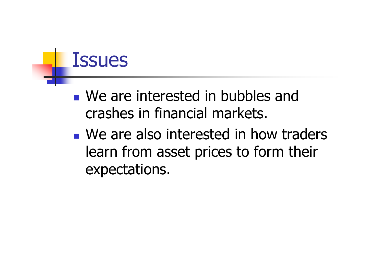### **Issues**

- **Ne are interested in bubbles and** crashes in financial markets.
- **Ne are also interested in how traders** learn from asset prices to form their expectations.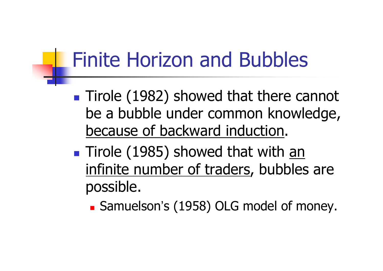### Finite Horizon and Bubbles

- **Tirole (1982) showed that there cannot** be a bubble under common knowledge, because of backward induction.
- **Tirole (1985) showed that with <u>an</u>** infinite number of traders, bubbles are possible.
	- Samuelson's (1958) OLG model of money.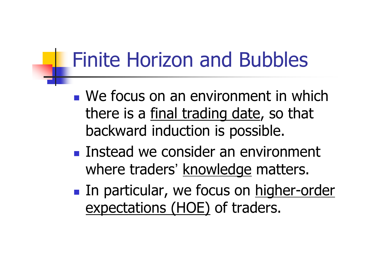### Finite Horizon and Bubbles

- **Ne focus on an environment in which** there is a final trading date, so that backward induction is possible.
- **Instead we consider an environment** where traders' knowledge matters.
- **In particular, we focus on higher-order** expectations (HOE) of traders.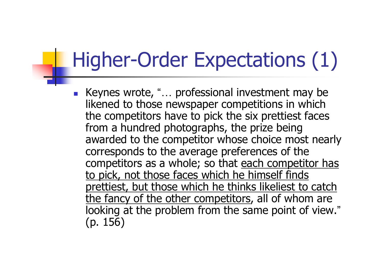### Higher-Order Expectations (1)

■ Keynes wrote, "... professional investment may be likened to those newspaper competitions in which the competitors have to pick the six prettiest faces from a hundred photographs, the prize being awarded to the competitor whose choice most nearly corresponds to the average preferences of the competitors as a whole; so that each competitor has to pick, not those faces which he himself finds prettiest, but those which he thinks likeliest to catch the fancy of the other competitors, all of whom are looking at the problem from the same point of view. "(p. 156)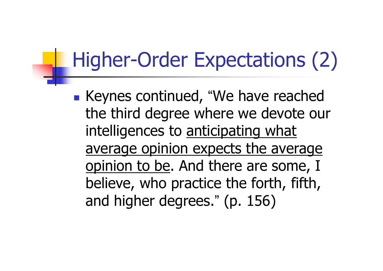### Higher-Order Expectations (2)

 Keynes continued, "We have reached the third degree where we devote our intelligences to anticipating what average opinion expects the average opinion to be. And there are some, I believe, who practice the forth, fifth, and higher degrees. " (p. 156)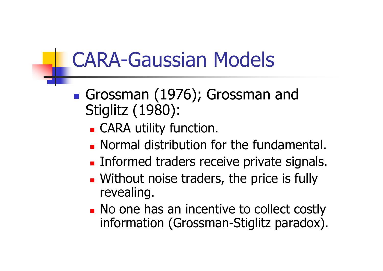### CARA-Gaussian Models

- Grossman (1976); Grossman and Stiglitz (1980):
	- CARA utility function.
	- **Normal distribution for the fundamental.**
	- **Informed traders receive private signals.**
	- **Without noise traders, the price is fully** revealing.
	- **No one has an incentive to collect costly** information (Grossman-Stiglitz paradox).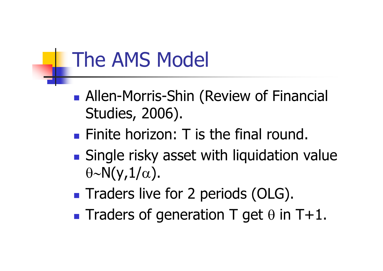### The AMS Model

- **Allen-Morris-Shin (Review of Financial** Studies, 2006).
- **Finite horizon: T is the final round.**
- **Single risky asset with liquidation value**  $\theta$ ∼N(y, $1/\alpha$ ).
- **Traders live for 2 periods (OLG).**
- **Traders of generation T get**  $\theta$  **in T+1.**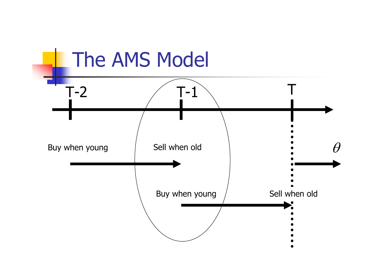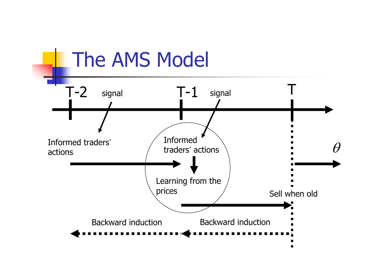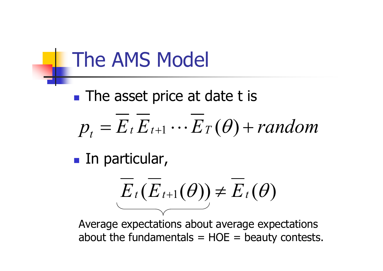### The AMS Model

### **The asset price at date t is**

 $\boldsymbol{p}_t$  $=E$  *t*  $E$  *t*+1 ⋅⋅⋅ $\cdot$  *E*<sub>T</sub>( $\theta$ ) + *random* 

**In particular,** 

$$
E_t(E_{t+1}(\theta))\neq E_t(\theta)
$$

Average expectations about average expectations about the fundamentals  $= HOE =$  beauty contests.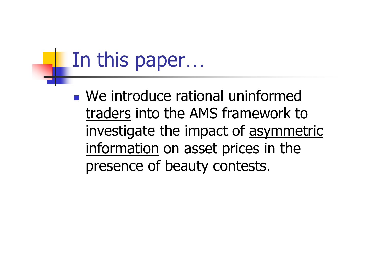### In this paper …

**Ne introduce rational uninformed** traders into the AMS framework to investigate the impact of asymmetric information on asset prices in the presence of beauty contests.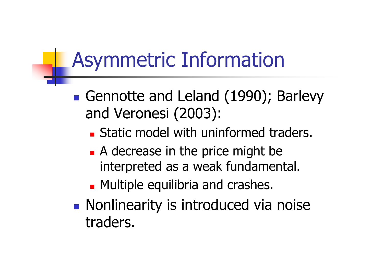### Asymmetric Information

- Gennotte and Leland (1990); Barlevy and Veronesi (2003):
	- **Static model with uninformed traders.**
	- **A** decrease in the price might be interpreted as a weak fundamental.
	- **Multiple equilibria and crashes.**
- **Nonlinearity is introduced via noise** traders.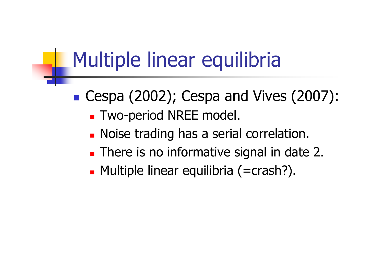### Multiple linear equilibria

- Cespa (2002); Cespa and Vives (2007):
	- Two-period NREE model.
	- **Noise trading has a serial correlation.**
	- **There is no informative signal in date 2.**
	- Multiple linear equilibria (=crash?).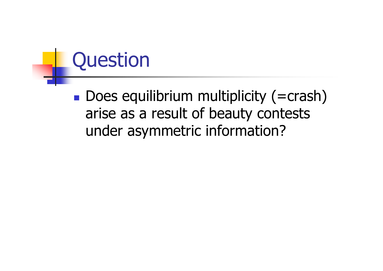

**Does equilibrium multiplicity (=crash)** arise as a result of beauty contests under asymmetric information?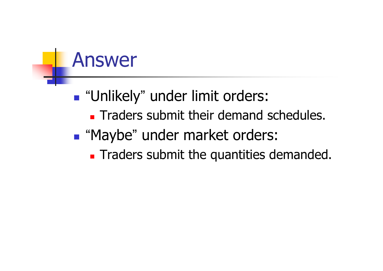### Answer

### **.** "Unlikely" under limit orders:

- **Traders submit their demand schedules.**
- **.** "Maybe" under market orders:
	- **Traders submit the quantities demanded.**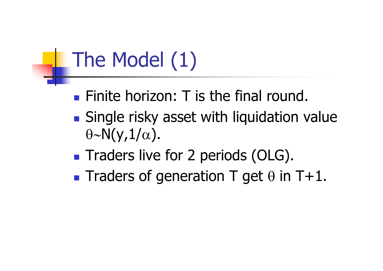# The Model (1)

- **Finite horizon: T is the final round.**
- **Single risky asset with liquidation value**  $\theta$ ∼N(y, $1/\alpha$ ).
- **Traders live for 2 periods (OLG).**
- **Traders of generation T get**  $\theta$  **in T+1.**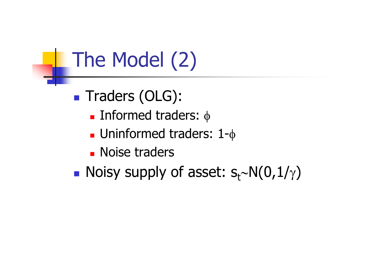# The Model (2)

- Traders (OLG):
	- **Informed traders:** φ
	- Uninformed traders: 1-φ
	- **Noise traders**
- Noisy supply of asset:  $s_t$ ~N(0,1/γ)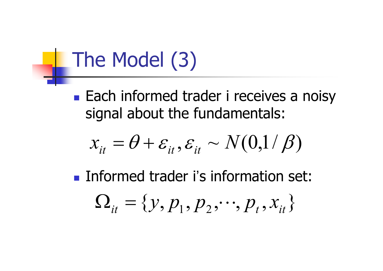## The Model (3)

**Each informed trader i receives a noisy** signal about the fundamentals:

$$
x_{it} = \theta + \varepsilon_{it}, \varepsilon_{it} \sim N(0,1/\beta)
$$

**Informed trader i's information set:** 

$$
\Omega_{it} = \{y, p_1, p_2, \cdots, p_t, x_{it}\}
$$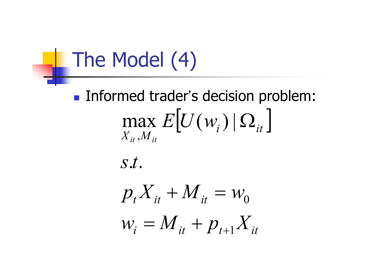## The Model (4)

### **Informed trader's decision problem:**  $\left[U(w_i) | \Omega_{it}\right]$  $X^{}_{it}$  ,  $\!_{it}$  $\max E[U(w_i) | \Omega$

*s t* . .

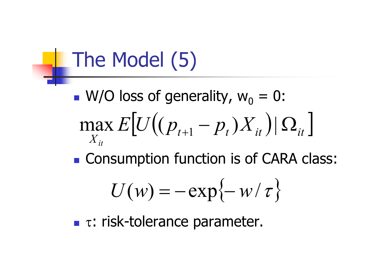## The Model (5)

- $\blacksquare$  W/O loss of generality,  $w_0 = 0$ :  $\left[ U((p_{_{t+1}}-p_{_t})X_{_{it}})|\Omega_{_{it}} \right]$ *X it* $E[U|(p_{t+1}-p)$  $\max_{t} E[U((p_{t+1} - p_t)X)]$  $- \, p_{_t}) X_{_{it}}$  )|  $\Omega$
- **Example Consumption function is of CARA class:**

$$
U(w) = -\exp\{-w/\tau\}
$$

 $\blacksquare$  τ: risk-tolerance parameter.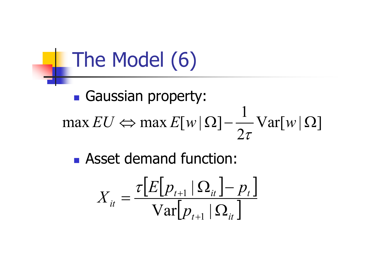## The Model (6)

#### **Gaussian property:**  $\mathrm{Var}[w | \Omega]$ 2  $\max EU \Leftrightarrow \max E[w|\Omega]-\frac{1}{2}$ — Var[w|Ω  $\tau$

**Asset demand function:** 

$$
X_{it} = \frac{\tau \left[E\left[p_{t+1} | \Omega_{it}\right] - p_t\right]}{\text{Var}\left[p_{t+1} | \Omega_{it}\right]}
$$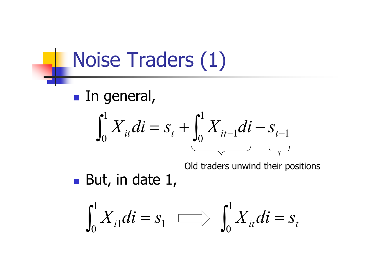### Noise Traders (1)

**In general,** 



Old traders unwind their positions

But, in date 1,

$$
\int_0^1 X_{i1}di = s_1 \quad \text{and} \quad \int_0^1 X_{it}di = s_t
$$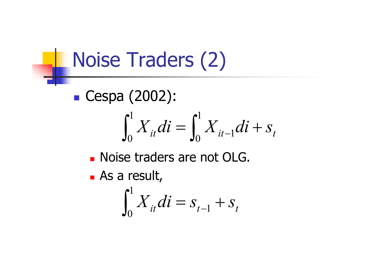### Noise Traders (2)

■ Cespa (2002):

$$
\int_0^1 X_{it} dt = \int_0^1 X_{it-1} dt + S_t
$$

- **Noise traders are not OLG.**
- As a result,

$$
\int_0^1 X_{it} dt = S_{t-1} + S_t
$$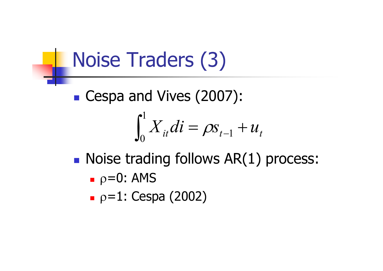### Noise Traders (3)

**Cespa and Vives (2007):** 

$$
\int_0^1 X_{it}di = \rho s_{t-1} + u_t
$$

- **Noise trading follows AR(1) process:** 
	- **▪** ρ=0: AMS
	- $p=1$ : Cespa (2002)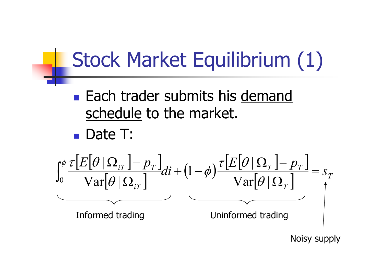### Stock Market Equilibrium (1)

- **Each trader submits his demand** schedule to the market.
- Date T:



Noisy supply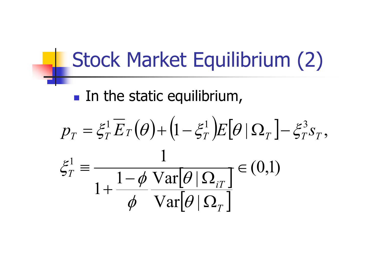### Stock Market Equilibrium (2)

**In the static equilibrium,** 

$$
p_T = \xi_T^1 \overline{E}_T(\theta) + (1 - \xi_T^1) E[\theta | \Omega_T] - \xi_T^3 s_T,
$$
  

$$
\xi_T^1 = \frac{1}{1 + \frac{1 - \phi \operatorname{Var}[\theta | \Omega_T]}{\phi \operatorname{Var}[\theta | \Omega_T]} } \in (0,1)
$$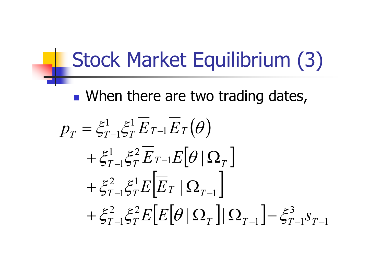### Stock Market Equilibrium (3)

**Notable 19 There are two trading dates,** 

 $\big(\theta\big)$  $\bigl[ \theta \, | \, \Omega_{_T} \bigr]$  $\left[\overline{E}_T \, | \, \Omega_{T-1} \, \right]$  $\left[ E\big[\theta\, |\, \Omega_{_T}\, \big] \right| \Omega_{_{T-1}} \big] \hspace*{-0.8mm}-\hspace*{-0.8mm} \xi^3_{_{T-1}} s^{}_{_{T-1}}$ 3 1  $5T-1$ 2 2  $+ \xi_{T-1}^2 \xi_T^2 E[E[\theta|\Omega_{_T}]|\Omega_{_{T-1}}] - \xi_{T-1}^3 S_{_{T-1}}$ 2 1  $+\xi_{T-1}^2 \xi_T^1 E |E_T| \Omega_{T-1}$  $\cdot 1$  $1 \epsilon 2$  $+$   $\mathcal{E}^{\scriptscriptstyle{1}}_{\scriptscriptstyle{T}-1}$  $\mathcal{E}^{\scriptscriptstyle{2}}_{\scriptscriptstyle{T}}$   $E_{\scriptscriptstyle{T}-1}$  $E[\theta\,|\,\Omega_{\scriptscriptstyle{T}}]$ 1 1 1 –1>7 — 1 — |<br>|<br>| |<br>|<br>| *T*−1ラ $T$  <sup>I</sup>I I<sup>I</sup>I I<sup>I</sup> II III III | ⊃*T*−1 *I*  $p_T = \zeta_{T-1}\zeta_T L$  T -1  $L$  T  $\left[\frac{\mathcal{E}^2}{\mathcal{E}^T - 1} \frac{\mathcal{E}^2}{\mathcal{E}^T} E[E|\theta| \Omega_T || \Omega_{T-1}| - \frac{\mathcal{E}^3}{\mathcal{E}^T - 1} S$  $\xi_{T-1}^2 \xi_T^1 E$   $E$  $\zeta_{T-1}^{\mathcal{E}} \zeta_T^2 E_{T-1} E \mid \theta$  $\zeta_{T-1}^{\mathcal{E}^1} \zeta_T^{\mathcal{E}^1} E_{T-1} E_T(\theta)$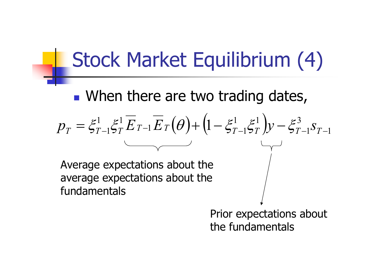### Stock Market Equilibrium (4)

**Notable 19 There are two trading dates,** 

 $\left( \theta \right) { + \left( {1 - \xi _{T-1}^1 \xi _T^1} \right)} \mathcal{Y} - \xi _{T-1}^3 s_{T-1}$ ) 3 1 1 1 1 1 1 1 1  $=\xi_{T-1}^{\perp}\xi_T^{\perp}E_{T-1}E_T(\theta) + (1-\xi_{T-1}^{\perp}\xi_T^{\perp})y - \xi_{T-1}^{\circ}S_{T-1}$ *T* −157 JY T  $p_T = \xi_{T-1}^T \xi_T^T E_{T-1} E_T(\theta) + (1 - \xi_{T-1}^T \xi_T^T) y - \xi_{T-1}^3 s_T$ 

Average expectations about the average expectations about the fundamentals

> Prior expectations about the fundamentals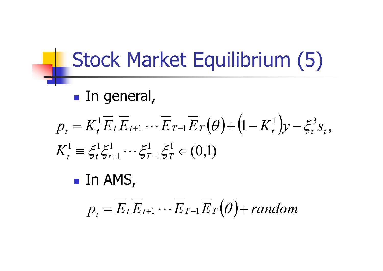### Stock Market Equilibrium (5)

**In general,** 

$$
p_t = K_t^1 \overline{E}_t \overline{E}_{t+1} \cdots \overline{E}_{T-1} \overline{E}_T (\theta) + (1 - K_t^1) y - \xi_t^3 s_t,
$$

$$
K_t^1 \equiv \xi_t^1 \xi_{t+1}^1 \cdots \xi_{T-1}^1 \xi_T^1 \in (0,1)
$$

 $\blacksquare$  In AMS,

$$
p_t = \overline{E}_t \overline{E}_{t+1} \cdots \overline{E}_{T-1} \overline{E}_T (\theta) + \text{random}
$$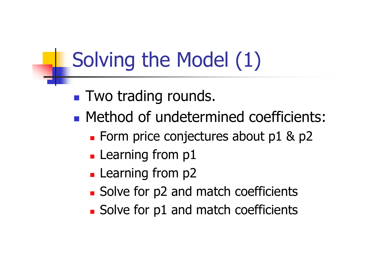## Solving the Model (1)

- **Two trading rounds.**
- **Method of undetermined coefficients:** 
	- **Form price conjectures about p1 & p2**
	- **Learning from p1**
	- **Learning from p2**
	- **Solve for p2 and match coefficients**
	- **Solve for p1 and match coefficients**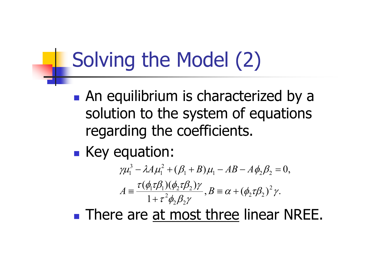## Solving the Model (2)

- **An equilibrium is characterized by a** solution to the system of equations regarding the coefficients.
- **Example Key equation:**

$$
\gamma \mu_1^3 - \lambda A \mu_1^2 + (\beta_1 + B) \mu_1 - AB - A \phi_2 \beta_2 = 0,
$$
  

$$
A = \frac{\tau (\phi_1 \tau \beta_1)(\phi_2 \tau \beta_2) \gamma}{1 + \tau^2 \phi_2 \beta_2 \gamma}, B = \alpha + (\phi_2 \tau \beta_2)^2 \gamma.
$$

**There are at most three linear NREE.**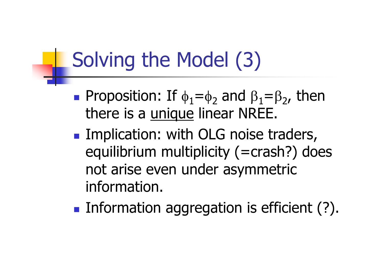## Solving the Model (3)

- **Proposition:** If  $\phi_1 = \phi_2$  and  $\beta_1 = \beta_2$ , then there is a unique linear NREE.
- **Implication: with OLG noise traders,** equilibrium multiplicity (=crash?) does not arise even under asymmetric information.
- **Information aggregation is efficient (?).**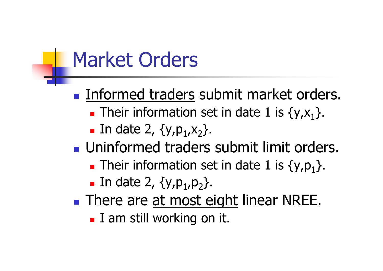### Market Orders

**Informed traders submit market orders. Their information set in date 1 is**  $\{y,x_1\}$ **.** 

- **In date 2,**  $\{y, p_1, x_2\}$ **.**
- **Uninformed traders submit limit orders.** 
	- **Their information set in date 1 is {y,p**<sub>1</sub>}.
	- **In date 2,**  $\{y, p_1, p_2\}$ **.**
- **There are at most eight linear NREE. I** am still working on it.